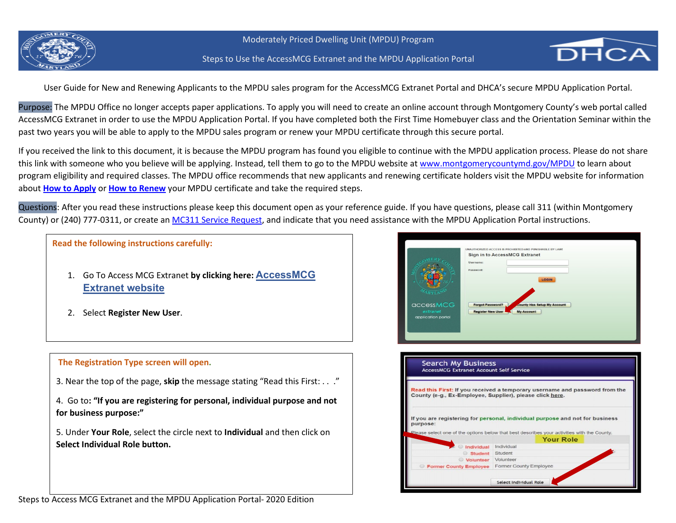



User Guide for New and Renewing Applicants to the MPDU sales program for the AccessMCG Extranet Portal and DHCA's secure MPDU Application Portal.

Purpose: The MPDU Office no longer accepts paper applications. To apply you will need to create an online account through Montgomery County's web portal called AccessMCG Extranet in order to use the MPDU Application Portal. If you have completed both the First Time Homebuyer class and the Orientation Seminar within the past two years you will be able to apply to the MPDU sales program or renew your MPDU certificate through this secure portal.

If you received the link to this document, it is because the MPDU program has found you eligible to continue with the MPDU application process. Please do not share this link with someone who you believe will be applying. Instead, tell them to go to the MPDU website at [www.montgomerycountymd.gov/MPDU](http://www.montgomerycountymd.gov/MPDU) to learn about program eligibility and required classes. The MPDU office recommends that new applicants and renewing certificate holders visit the MPDU website for information about **[How to Apply](https://www.montgomerycountymd.gov/DHCA/housing/singlefamily/mpdu/programsales.html)** or **[How to Renew](https://www.montgomerycountymd.gov/DHCA/housing/singlefamily/mpdu/participants.html#How%20to%20Renew%20Your%20Certificate)** your MPDU certificate and take the required steps.

Questions: After you read these instructions please keep this document open as your reference guide. If you have questions, please call 311 (within Montgomery County) or (240) 777-0311, or create a[n MC311 Service Request,](https://gcc01.safelinks.protection.outlook.com/?url=https%3A%2F%2Fwww3.montgomerycountymd.gov%2F311%2FSolutions.aspx%3FSolutionId%3D1-77EENE&data=04%7C01%7CLisa.Schwartz%40montgomerycountymd.gov%7C8110e05793994c169d9808d87511db4a%7C6e01b1f9b1e54073ac97778069a0ad64%7C0%7C0%7C637388066857756783%7CUnknown%7CTWFpbGZsb3d8eyJWIjoiMC4wLjAwMDAiLCJQIjoiV2luMzIiLCJBTiI6Ik1haWwiLCJXVCI6Mn0%3D%7C1000&sdata=zR4Lfev7yiIHHnnmJk06lhJev%2FMmDcYVHXKXuzTXMFA%3D&reserved=0) and indicate that you need assistance with the MPDU Application Portal instructions.

**Read the following instructions carefully:** 

- 1. Go To Access MCG Extranet **by clicking here: [AccessMCG](https://www.montgomerycountymd.gov/AccessMCG)  [Extranet website](https://www.montgomerycountymd.gov/AccessMCG)**
- 2. Select **Register New User**.



|                                             | UNAUTHORIZED ACCESS IS PROHIBITED AND PUNISHABLE BY LAW!<br><b>Sign in to AccessMCG Extranet</b><br>Username: |
|---------------------------------------------|---------------------------------------------------------------------------------------------------------------|
|                                             | Password:<br>LOGIN                                                                                            |
| accessMCG<br>extranet<br>application portal | <b>Forgot Password?</b><br>county Has Setup My Account<br><b>Register New User</b><br><b>My Account</b>       |

| <b>Search My Business</b><br><b>AccessMCG Extranet Account Self Service</b>                                                             |                                                                                                                                                                             |  |  |  |  |  |
|-----------------------------------------------------------------------------------------------------------------------------------------|-----------------------------------------------------------------------------------------------------------------------------------------------------------------------------|--|--|--|--|--|
| Read this First: If you received a temporary username and password from the<br>County (e-g., Ex-Employee, Supplier), please click here. |                                                                                                                                                                             |  |  |  |  |  |
| purpose:                                                                                                                                | If you are registering for personal, individual purpose and not for business<br>Please select one of the options below that best describes your activities with the County. |  |  |  |  |  |
|                                                                                                                                         | <b>Your Role</b>                                                                                                                                                            |  |  |  |  |  |
| <b>Individual</b>                                                                                                                       | Individual                                                                                                                                                                  |  |  |  |  |  |
| Student Student                                                                                                                         |                                                                                                                                                                             |  |  |  |  |  |
| Volunteer Volunteer                                                                                                                     |                                                                                                                                                                             |  |  |  |  |  |
| <b>Example 7 Former County Employee</b> Former County Employee                                                                          |                                                                                                                                                                             |  |  |  |  |  |
|                                                                                                                                         |                                                                                                                                                                             |  |  |  |  |  |
|                                                                                                                                         | Select Individual Role                                                                                                                                                      |  |  |  |  |  |

Steps to Access MCG Extranet and the MPDU Application Portal- 2020 Edition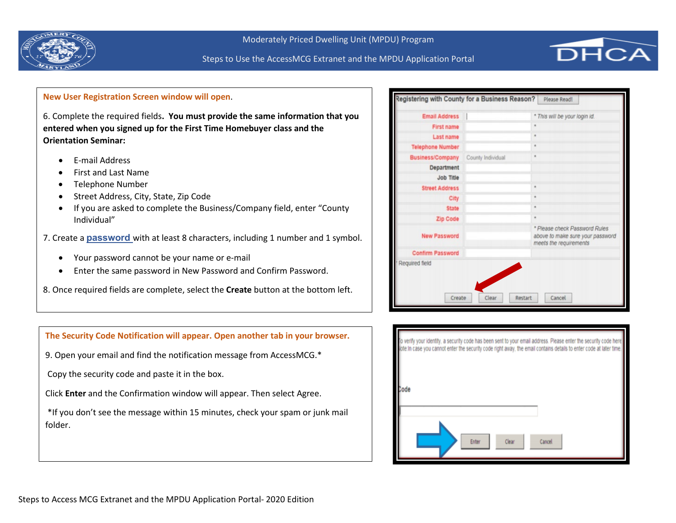



## **New User Registration Screen window will open**.

6. Complete the required fields**. You must provide the same information that you entered when you signed up for the First Time Homebuyer class and the Orientation Seminar:**

- E-mail Address
- First and Last Name
- Telephone Number
- Street Address, City, State, Zip Code
- If you are asked to complete the Business/Company field, enter "County Individual"
- 7. Create a **[password](https://montgomerycountymd.gov/DHCA/Resources/Files/housing/licensing/AccessMCG%20Password%20Rules.pdf)** with at least 8 characters, including 1 number and 1 symbol.
	- Your password cannot be your name or e-mail
	- Enter the same password in New Password and Confirm Password.
- 8. Once required fields are complete, select the **Create** button at the bottom left.

| <b>Email Address</b>    |                   | * This will be your login id.                                                               |
|-------------------------|-------------------|---------------------------------------------------------------------------------------------|
| <b>First name</b>       |                   |                                                                                             |
| Last name               |                   | ٠                                                                                           |
| <b>Telephone Number</b> |                   | ٠                                                                                           |
| <b>Business/Company</b> | County Individual | ٠                                                                                           |
| Department              |                   |                                                                                             |
| Job Title               |                   |                                                                                             |
| <b>Street Address</b>   |                   | ٠                                                                                           |
| City                    |                   | ٠                                                                                           |
| <b>State</b>            |                   | ٠                                                                                           |
| <b>Zip Code</b>         |                   | ×                                                                                           |
| <b>New Password</b>     |                   | * Please check Password Rules<br>above to make sure your password<br>meets the requirements |
| <b>Confirm Password</b> |                   |                                                                                             |
| Required field          |                   |                                                                                             |



### **The Security Code Notification will appear. Open another tab in your browser.**

9. Open your email and find the notification message from AccessMCG.\*

Copy the security code and paste it in the box.

Click **Enter** and the Confirmation window will appear. Then select Agree.

\*If you don't see the message within 15 minutes, check your spam or junk mail folder.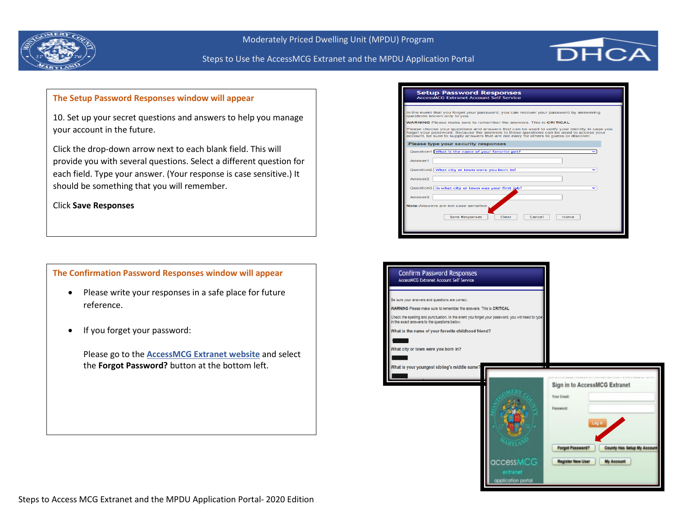



## **The Setup Password Responses window will appear**

10. Set up your secret questions and answers to help you manage your account in the future.

Click the drop-down arrow next to each blank field. This will provide you with several questions. Select a different question for each field. Type your answer. (Your response is case sensitive.) It should be something that you will remember.

Click **Save Responses**

**The Confirmation Password Responses window will appear**

- Please write your responses in a safe place for future reference.
- If you forget your password:

Please go to the **[AccessMCG Extranet website](https://www.montgomerycountymd.gov/AccessMCG)** and select the **Forgot Password?** button at the bottom left.

| In the event that you forget your password, you can recover your password by answering<br>questions known only to you.<br><b>WARNING</b> Please make sure to remember the answers. This is CRITICAL<br>Please choose your questions and answers that can be used to verify your identity in case you<br>forget your password. Because the answers to these questions can be used to access your<br>account, be sure to supply answers that are not easy for others to quess or discover. |
|------------------------------------------------------------------------------------------------------------------------------------------------------------------------------------------------------------------------------------------------------------------------------------------------------------------------------------------------------------------------------------------------------------------------------------------------------------------------------------------|
| Please type your security responses<br>Question1 What is the name of your favorite pet?<br>Answer1<br>Question2 What city or town were you born in?<br>Answer2<br>Question3 In what city or town was your first job?<br>Answer3<br>Note: Answers are not case sensitive.<br><b>Save Responses</b><br>Clear<br>Cancel<br>Home                                                                                                                                                             |